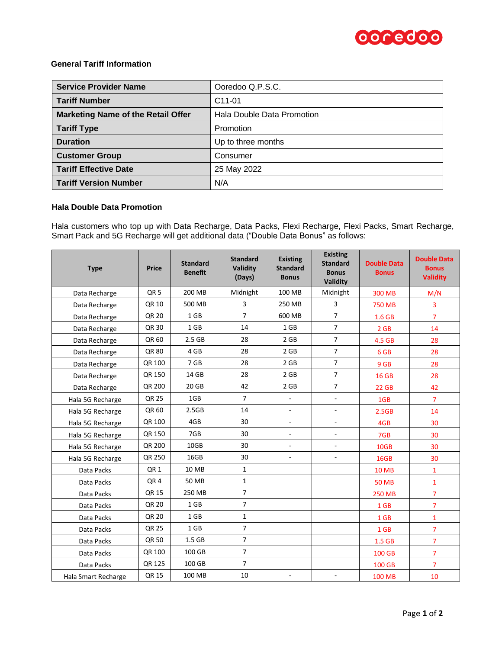

## **General Tariff Information**

| <b>Service Provider Name</b>              | Ooredoo Q.P.S.C.           |
|-------------------------------------------|----------------------------|
| <b>Tariff Number</b>                      | C <sub>11</sub> -01        |
| <b>Marketing Name of the Retail Offer</b> | Hala Double Data Promotion |
| <b>Tariff Type</b>                        | Promotion                  |
| <b>Duration</b>                           | Up to three months         |
| <b>Customer Group</b>                     | Consumer                   |
| <b>Tariff Effective Date</b>              | 25 May 2022                |
| <b>Tariff Version Number</b>              | N/A                        |

## **Hala Double Data Promotion**

Hala customers who top up with Data Recharge, Data Packs, Flexi Recharge, Flexi Packs, Smart Recharge, Smart Pack and 5G Recharge will get additional data ("Double Data Bonus" as follows:

| <b>Type</b>         | <b>Price</b>    | <b>Standard</b><br><b>Benefit</b> | <b>Standard</b><br>Validity<br>(Days) | <b>Existing</b><br><b>Standard</b><br><b>Bonus</b> | <b>Existing</b><br><b>Standard</b><br><b>Bonus</b><br>Validity | <b>Double Data</b><br><b>Bonus</b> | <b>Double Data</b><br><b>Bonus</b><br><b>Validity</b> |
|---------------------|-----------------|-----------------------------------|---------------------------------------|----------------------------------------------------|----------------------------------------------------------------|------------------------------------|-------------------------------------------------------|
| Data Recharge       | QR <sub>5</sub> | 200 MB                            | Midnight                              | 100 MB                                             | Midnight                                                       | 300 MB                             | M/N                                                   |
| Data Recharge       | QR 10           | 500 MB                            | 3                                     | 250 MB                                             | 3                                                              | <b>750 MB</b>                      | 3                                                     |
| Data Recharge       | QR 20           | 1 <sub>GB</sub>                   | $\overline{7}$                        | 600 MB                                             | $\overline{7}$                                                 | 1.6 GB                             | $\overline{7}$                                        |
| Data Recharge       | QR 30           | 1 GB                              | 14                                    | 1 GB                                               | $\overline{7}$                                                 | 2 GB                               | 14                                                    |
| Data Recharge       | QR 60           | 2.5 <sub>GB</sub>                 | 28                                    | 2 GB                                               | $\overline{7}$                                                 | 4.5 GB                             | 28                                                    |
| Data Recharge       | QR 80           | 4 GB                              | 28                                    | 2 GB                                               | $\overline{7}$                                                 | 6 GB                               | 28                                                    |
| Data Recharge       | QR 100          | 7 GB                              | 28                                    | 2 GB                                               | $\overline{7}$                                                 | 9 GB                               | 28                                                    |
| Data Recharge       | QR 150          | 14 GB                             | 28                                    | 2 GB                                               | $\overline{7}$                                                 | <b>16 GB</b>                       | 28                                                    |
| Data Recharge       | QR 200          | 20 GB                             | 42                                    | 2 GB                                               | $\overline{7}$                                                 | <b>22 GB</b>                       | 42                                                    |
| Hala 5G Recharge    | QR 25           | 1GB                               | $\overline{7}$                        | $\mathcal{L}_{\mathcal{A}}$                        | $\sim$                                                         | 1GB                                | $\overline{7}$                                        |
| Hala 5G Recharge    | QR 60           | 2.5GB                             | 14                                    | $\mathcal{L}_{\mathcal{A}}$                        | $\overline{\phantom{a}}$                                       | 2.5GB                              | 14                                                    |
| Hala 5G Recharge    | QR 100          | 4GB                               | 30                                    | $\blacksquare$                                     | $\overline{\phantom{a}}$                                       | 4GB                                | 30                                                    |
| Hala 5G Recharge    | QR 150          | 7GB                               | 30                                    | $\mathcal{L}_{\mathcal{A}}$                        | $\sim$                                                         | 7GB                                | 30                                                    |
| Hala 5G Recharge    | QR 200          | 10GB                              | 30                                    |                                                    |                                                                | 10GB                               | 30                                                    |
| Hala 5G Recharge    | QR 250          | 16GB                              | 30                                    |                                                    |                                                                | 16GB                               | 30                                                    |
| Data Packs          | QR <sub>1</sub> | 10 MB                             | $\mathbf{1}$                          |                                                    |                                                                | <b>10 MB</b>                       | $\mathbf{1}$                                          |
| Data Packs          | QR4             | 50 MB                             | $\mathbf{1}$                          |                                                    |                                                                | <b>50 MB</b>                       | $\mathbf{1}$                                          |
| Data Packs          | QR 15           | 250 MB                            | $\overline{7}$                        |                                                    |                                                                | <b>250 MB</b>                      | $\overline{7}$                                        |
| Data Packs          | QR 20           | 1 GB                              | $\overline{7}$                        |                                                    |                                                                | 1 GB                               | $\overline{7}$                                        |
| Data Packs          | QR 20           | $1$ GB                            | $\mathbf 1$                           |                                                    |                                                                | 1 GB                               | $\mathbf{1}$                                          |
| Data Packs          | QR 25           | $1$ GB                            | $\overline{7}$                        |                                                    |                                                                | 1 GB                               | $\overline{7}$                                        |
| Data Packs          | QR 50           | 1.5 <sub>GB</sub>                 | $\overline{7}$                        |                                                    |                                                                | 1.5 <sub>GB</sub>                  | $\overline{7}$                                        |
| Data Packs          | QR 100          | 100 GB                            | $\overline{7}$                        |                                                    |                                                                | 100 GB                             | $\overline{7}$                                        |
| Data Packs          | QR 125          | 100 GB                            | $\overline{7}$                        |                                                    |                                                                | 100 GB                             | 7                                                     |
| Hala Smart Recharge | QR 15           | 100 MB                            | 10                                    | $\blacksquare$                                     | $\overline{\phantom{a}}$                                       | <b>100 MB</b>                      | 10                                                    |